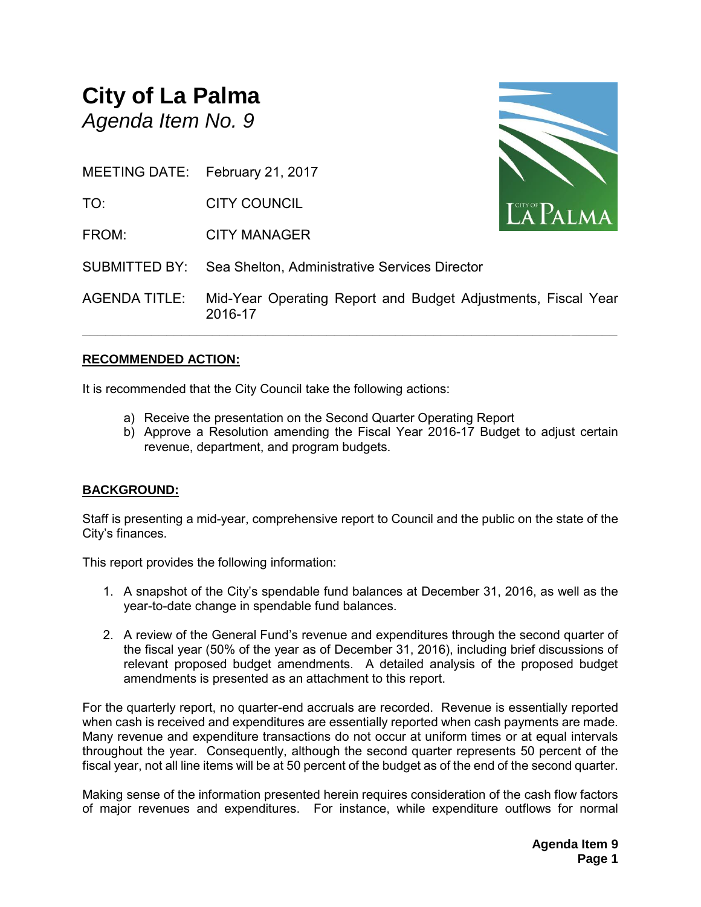# **City of La Palma** *Agenda Item No. 9*

MEETING DATE: February 21, 2017

TO: CITY COUNCIL

FROM: CITY MANAGER



SUBMITTED BY: Sea Shelton, Administrative Services Director

AGENDA TITLE: Mid-Year Operating Report and Budget Adjustments, Fiscal Year 2016-17

**\_\_\_\_\_\_\_\_\_\_\_\_\_\_\_\_\_\_\_\_\_\_\_\_\_\_\_\_\_\_\_\_\_\_\_\_\_\_\_\_\_\_\_\_\_\_\_\_\_\_\_\_\_\_\_\_\_\_\_\_\_\_\_\_\_\_\_\_\_\_**

#### **RECOMMENDED ACTION:**

It is recommended that the City Council take the following actions:

- a) Receive the presentation on the Second Quarter Operating Report
- b) Approve a Resolution amending the Fiscal Year 2016-17 Budget to adjust certain revenue, department, and program budgets.

### **BACKGROUND:**

Staff is presenting a mid-year, comprehensive report to Council and the public on the state of the City's finances.

This report provides the following information:

- 1. A snapshot of the City's spendable fund balances at December 31, 2016, as well as the year-to-date change in spendable fund balances.
- 2. A review of the General Fund's revenue and expenditures through the second quarter of the fiscal year (50% of the year as of December 31, 2016), including brief discussions of relevant proposed budget amendments. A detailed analysis of the proposed budget amendments is presented as an attachment to this report.

For the quarterly report, no quarter-end accruals are recorded. Revenue is essentially reported when cash is received and expenditures are essentially reported when cash payments are made. Many revenue and expenditure transactions do not occur at uniform times or at equal intervals throughout the year. Consequently, although the second quarter represents 50 percent of the fiscal year, not all line items will be at 50 percent of the budget as of the end of the second quarter.

Making sense of the information presented herein requires consideration of the cash flow factors of major revenues and expenditures. For instance, while expenditure outflows for normal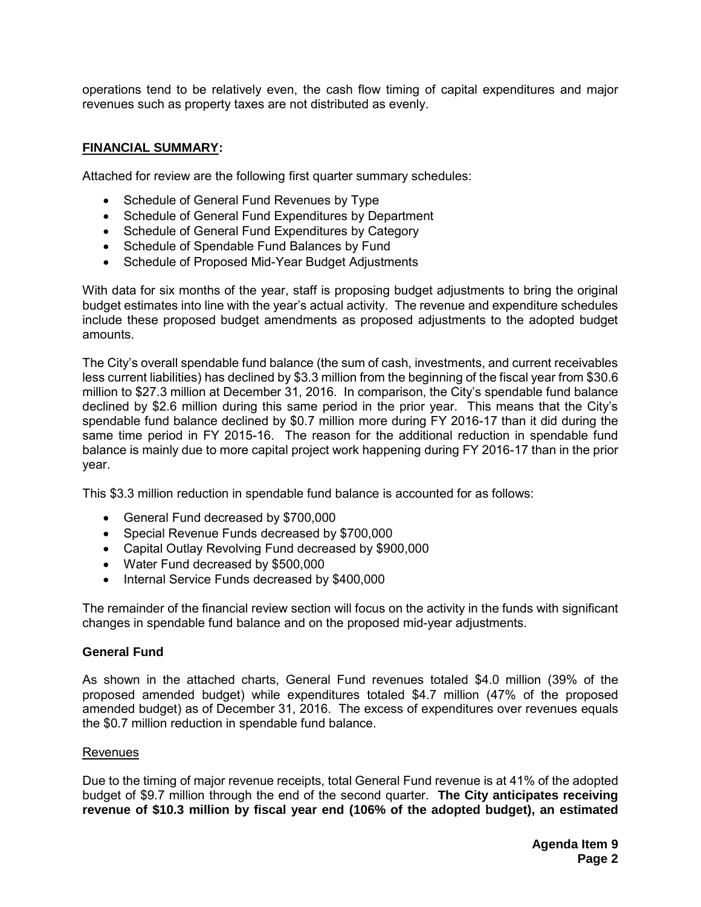operations tend to be relatively even, the cash flow timing of capital expenditures and major revenues such as property taxes are not distributed as evenly.

#### **FINANCIAL SUMMARY:**

Attached for review are the following first quarter summary schedules:

- Schedule of General Fund Revenues by Type
- Schedule of General Fund Expenditures by Department
- Schedule of General Fund Expenditures by Category
- Schedule of Spendable Fund Balances by Fund
- Schedule of Proposed Mid-Year Budget Adjustments

With data for six months of the year, staff is proposing budget adjustments to bring the original budget estimates into line with the year's actual activity. The revenue and expenditure schedules include these proposed budget amendments as proposed adjustments to the adopted budget amounts.

The City's overall spendable fund balance (the sum of cash, investments, and current receivables less current liabilities) has declined by \$3.3 million from the beginning of the fiscal year from \$30.6 million to \$27.3 million at December 31, 2016. In comparison, the City's spendable fund balance declined by \$2.6 million during this same period in the prior year. This means that the City's spendable fund balance declined by \$0.7 million more during FY 2016-17 than it did during the same time period in FY 2015-16. The reason for the additional reduction in spendable fund balance is mainly due to more capital project work happening during FY 2016-17 than in the prior year.

This \$3.3 million reduction in spendable fund balance is accounted for as follows:

- General Fund decreased by \$700,000
- Special Revenue Funds decreased by \$700,000
- Capital Outlay Revolving Fund decreased by \$900,000
- Water Fund decreased by \$500,000
- Internal Service Funds decreased by \$400,000

The remainder of the financial review section will focus on the activity in the funds with significant changes in spendable fund balance and on the proposed mid-year adjustments.

#### **General Fund**

As shown in the attached charts, General Fund revenues totaled \$4.0 million (39% of the proposed amended budget) while expenditures totaled \$4.7 million (47% of the proposed amended budget) as of December 31, 2016. The excess of expenditures over revenues equals the \$0.7 million reduction in spendable fund balance.

#### Revenues

Due to the timing of major revenue receipts, total General Fund revenue is at 41% of the adopted budget of \$9.7 million through the end of the second quarter. **The City anticipates receiving revenue of \$10.3 million by fiscal year end (106% of the adopted budget), an estimated**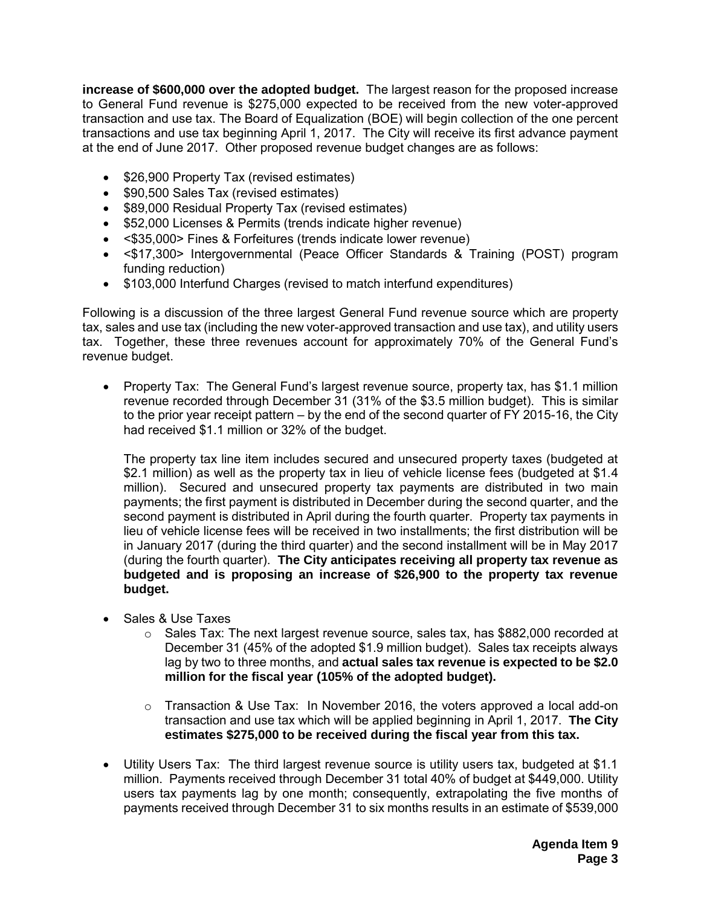**increase of \$600,000 over the adopted budget.** The largest reason for the proposed increase to General Fund revenue is \$275,000 expected to be received from the new voter-approved transaction and use tax. The Board of Equalization (BOE) will begin collection of the one percent transactions and use tax beginning April 1, 2017. The City will receive its first advance payment at the end of June 2017. Other proposed revenue budget changes are as follows:

- \$26,900 Property Tax (revised estimates)
- \$90,500 Sales Tax (revised estimates)
- \$89,000 Residual Property Tax (revised estimates)
- \$52,000 Licenses & Permits (trends indicate higher revenue)
- <\$35,000> Fines & Forfeitures (trends indicate lower revenue)
- <\$17,300> Intergovernmental (Peace Officer Standards & Training (POST) program funding reduction)
- \$103,000 Interfund Charges (revised to match interfund expenditures)

Following is a discussion of the three largest General Fund revenue source which are property tax, sales and use tax (including the new voter-approved transaction and use tax), and utility users tax. Together, these three revenues account for approximately 70% of the General Fund's revenue budget.

• Property Tax: The General Fund's largest revenue source, property tax, has \$1.1 million revenue recorded through December 31 (31% of the \$3.5 million budget). This is similar to the prior year receipt pattern – by the end of the second quarter of FY 2015-16, the City had received \$1.1 million or 32% of the budget.

The property tax line item includes secured and unsecured property taxes (budgeted at \$2.1 million) as well as the property tax in lieu of vehicle license fees (budgeted at \$1.4 million). Secured and unsecured property tax payments are distributed in two main payments; the first payment is distributed in December during the second quarter, and the second payment is distributed in April during the fourth quarter. Property tax payments in lieu of vehicle license fees will be received in two installments; the first distribution will be in January 2017 (during the third quarter) and the second installment will be in May 2017 (during the fourth quarter). **The City anticipates receiving all property tax revenue as budgeted and is proposing an increase of \$26,900 to the property tax revenue budget.**

- Sales & Use Taxes
	- o Sales Tax: The next largest revenue source, sales tax, has \$882,000 recorded at December 31 (45% of the adopted \$1.9 million budget). Sales tax receipts always lag by two to three months, and **actual sales tax revenue is expected to be \$2.0 million for the fiscal year (105% of the adopted budget).**
	- $\circ$  Transaction & Use Tax: In November 2016, the voters approved a local add-on transaction and use tax which will be applied beginning in April 1, 2017. **The City estimates \$275,000 to be received during the fiscal year from this tax.**
- Utility Users Tax: The third largest revenue source is utility users tax, budgeted at \$1.1 million. Payments received through December 31 total 40% of budget at \$449,000. Utility users tax payments lag by one month; consequently, extrapolating the five months of payments received through December 31 to six months results in an estimate of \$539,000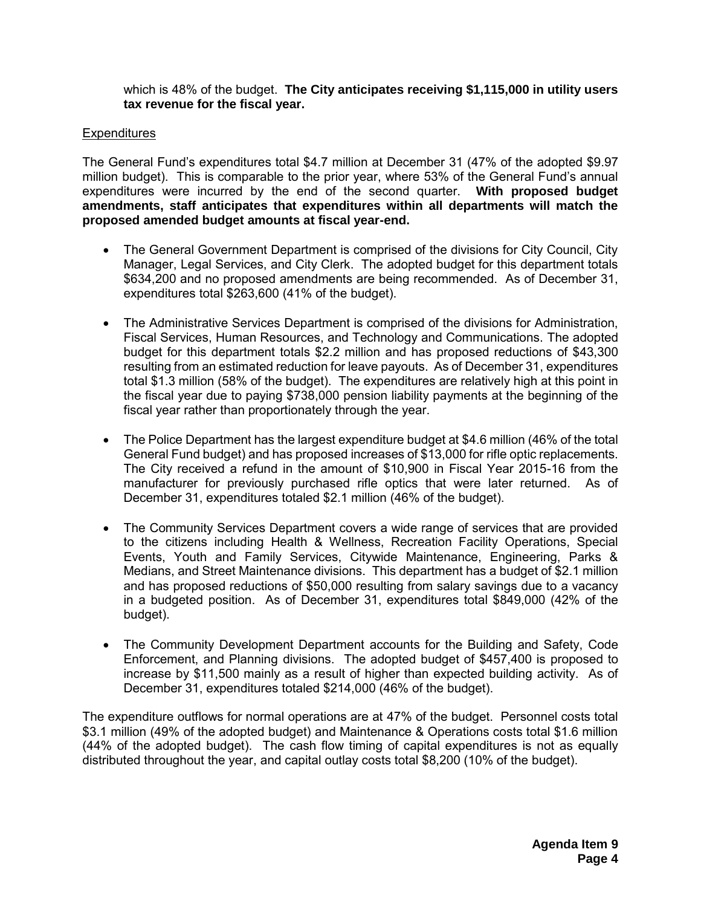which is 48% of the budget. **The City anticipates receiving \$1,115,000 in utility users tax revenue for the fiscal year.**

#### **Expenditures**

The General Fund's expenditures total \$4.7 million at December 31 (47% of the adopted \$9.97 million budget). This is comparable to the prior year, where 53% of the General Fund's annual expenditures were incurred by the end of the second quarter. **With proposed budget amendments, staff anticipates that expenditures within all departments will match the proposed amended budget amounts at fiscal year-end.**

- The General Government Department is comprised of the divisions for City Council, City Manager, Legal Services, and City Clerk. The adopted budget for this department totals \$634,200 and no proposed amendments are being recommended. As of December 31, expenditures total \$263,600 (41% of the budget).
- The Administrative Services Department is comprised of the divisions for Administration, Fiscal Services, Human Resources, and Technology and Communications. The adopted budget for this department totals \$2.2 million and has proposed reductions of \$43,300 resulting from an estimated reduction for leave payouts. As of December 31, expenditures total \$1.3 million (58% of the budget). The expenditures are relatively high at this point in the fiscal year due to paying \$738,000 pension liability payments at the beginning of the fiscal year rather than proportionately through the year.
- The Police Department has the largest expenditure budget at \$4.6 million (46% of the total General Fund budget) and has proposed increases of \$13,000 for rifle optic replacements. The City received a refund in the amount of \$10,900 in Fiscal Year 2015-16 from the manufacturer for previously purchased rifle optics that were later returned. As of December 31, expenditures totaled \$2.1 million (46% of the budget).
- The Community Services Department covers a wide range of services that are provided to the citizens including Health & Wellness, Recreation Facility Operations, Special Events, Youth and Family Services, Citywide Maintenance, Engineering, Parks & Medians, and Street Maintenance divisions. This department has a budget of \$2.1 million and has proposed reductions of \$50,000 resulting from salary savings due to a vacancy in a budgeted position. As of December 31, expenditures total \$849,000 (42% of the budget).
- The Community Development Department accounts for the Building and Safety, Code Enforcement, and Planning divisions. The adopted budget of \$457,400 is proposed to increase by \$11,500 mainly as a result of higher than expected building activity. As of December 31, expenditures totaled \$214,000 (46% of the budget).

The expenditure outflows for normal operations are at 47% of the budget. Personnel costs total \$3.1 million (49% of the adopted budget) and Maintenance & Operations costs total \$1.6 million (44% of the adopted budget). The cash flow timing of capital expenditures is not as equally distributed throughout the year, and capital outlay costs total \$8,200 (10% of the budget).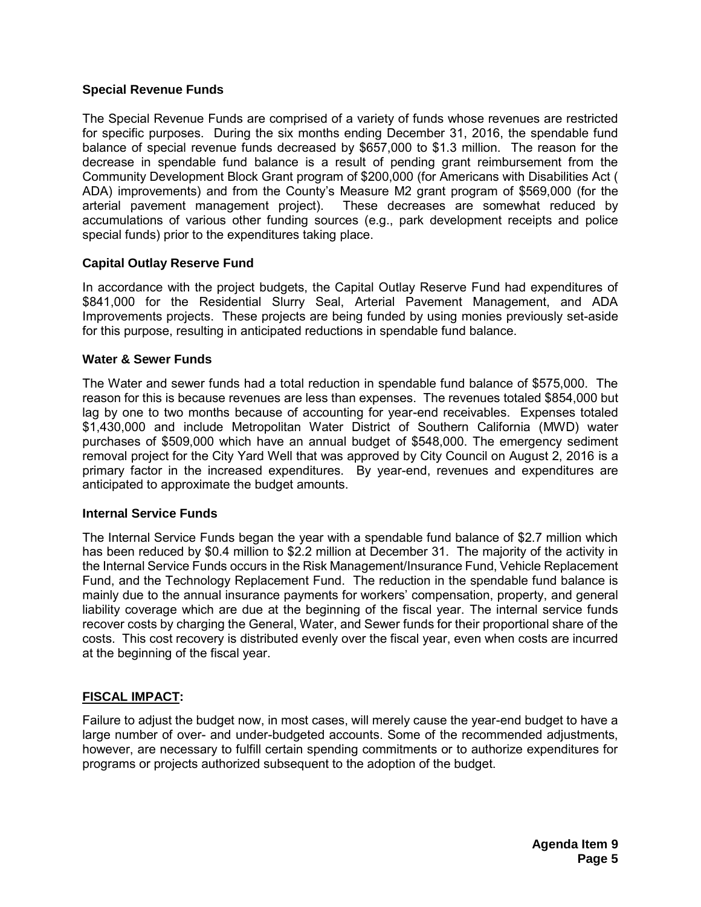#### **Special Revenue Funds**

The Special Revenue Funds are comprised of a variety of funds whose revenues are restricted for specific purposes. During the six months ending December 31, 2016, the spendable fund balance of special revenue funds decreased by \$657,000 to \$1.3 million. The reason for the decrease in spendable fund balance is a result of pending grant reimbursement from the Community Development Block Grant program of \$200,000 (for Americans with Disabilities Act ( ADA) improvements) and from the County's Measure M2 grant program of \$569,000 (for the arterial pavement management project). These decreases are somewhat reduced by accumulations of various other funding sources (e.g., park development receipts and police special funds) prior to the expenditures taking place.

#### **Capital Outlay Reserve Fund**

In accordance with the project budgets, the Capital Outlay Reserve Fund had expenditures of \$841,000 for the Residential Slurry Seal, Arterial Pavement Management, and ADA Improvements projects. These projects are being funded by using monies previously set-aside for this purpose, resulting in anticipated reductions in spendable fund balance.

#### **Water & Sewer Funds**

The Water and sewer funds had a total reduction in spendable fund balance of \$575,000. The reason for this is because revenues are less than expenses. The revenues totaled \$854,000 but lag by one to two months because of accounting for year-end receivables. Expenses totaled \$1,430,000 and include Metropolitan Water District of Southern California (MWD) water purchases of \$509,000 which have an annual budget of \$548,000. The emergency sediment removal project for the City Yard Well that was approved by City Council on August 2, 2016 is a primary factor in the increased expenditures. By year-end, revenues and expenditures are anticipated to approximate the budget amounts.

#### **Internal Service Funds**

The Internal Service Funds began the year with a spendable fund balance of \$2.7 million which has been reduced by \$0.4 million to \$2.2 million at December 31. The majority of the activity in the Internal Service Funds occurs in the Risk Management/Insurance Fund, Vehicle Replacement Fund, and the Technology Replacement Fund. The reduction in the spendable fund balance is mainly due to the annual insurance payments for workers' compensation, property, and general liability coverage which are due at the beginning of the fiscal year. The internal service funds recover costs by charging the General, Water, and Sewer funds for their proportional share of the costs. This cost recovery is distributed evenly over the fiscal year, even when costs are incurred at the beginning of the fiscal year.

### **FISCAL IMPACT:**

Failure to adjust the budget now, in most cases, will merely cause the year-end budget to have a large number of over- and under-budgeted accounts. Some of the recommended adjustments, however, are necessary to fulfill certain spending commitments or to authorize expenditures for programs or projects authorized subsequent to the adoption of the budget.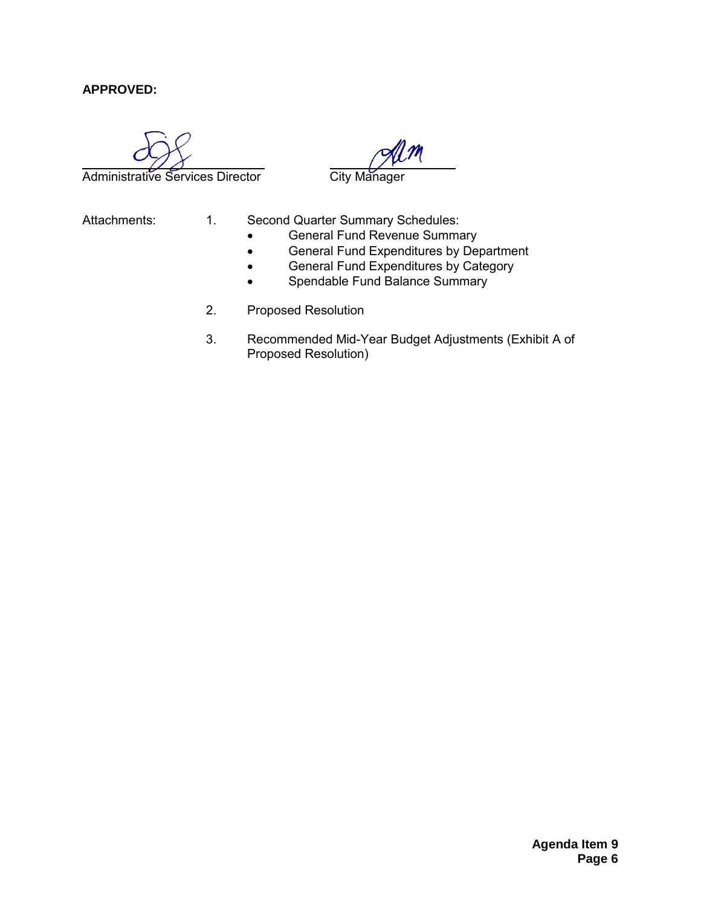### **APPROVED:**

Administrative Services Director City Manager

- Attachments: 1. Second Quarter Summary Schedules:
	- **•** General Fund Revenue Summary
	- **•** General Fund Expenditures by Department
	- **•** General Fund Expenditures by Category
	- Spendable Fund Balance Summary
	- 2. Proposed Resolution
	- 3. Recommended Mid-Year Budget Adjustments (Exhibit A of Proposed Resolution)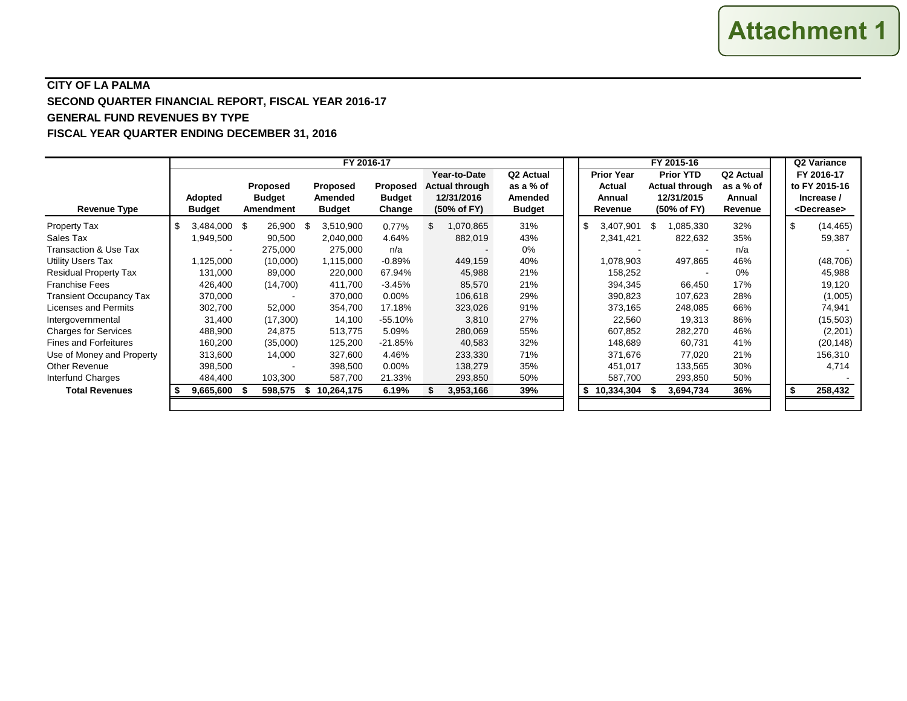### **CITY OF LA PALMA SECOND QUARTER FINANCIAL REPORT, FISCAL YEAR 2016-17 GENERAL FUND REVENUES BY TYPE FISCAL YEAR QUARTER ENDING DECEMBER 31, 2016**

|                                |                                 |                                               | FY 2016-17                                  |                                            | FY 2015-16                                                         |                                                                |                                                  |                                                                        |                                                         | Q2 Variance |     |                                                                    |
|--------------------------------|---------------------------------|-----------------------------------------------|---------------------------------------------|--------------------------------------------|--------------------------------------------------------------------|----------------------------------------------------------------|--------------------------------------------------|------------------------------------------------------------------------|---------------------------------------------------------|-------------|-----|--------------------------------------------------------------------|
| Revenue Type                   | <b>Adopted</b><br><b>Budget</b> | <b>Proposed</b><br><b>Budget</b><br>Amendment | <b>Proposed</b><br>Amended<br><b>Budget</b> | <b>Proposed</b><br><b>Budget</b><br>Change | Year-to-Date<br><b>Actual through</b><br>12/31/2016<br>(50% of FY) | Q <sub>2</sub> Actual<br>as a % of<br>Amended<br><b>Budget</b> | <b>Prior Year</b><br>Actual<br>Annual<br>Revenue | <b>Prior YTD</b><br><b>Actual through</b><br>12/31/2015<br>(50% of FY) | Q <sub>2</sub> Actual<br>as a % of<br>Annual<br>Revenue |             |     | FY 2016-17<br>to FY 2015-16<br>Increase /<br><decrease></decrease> |
| <b>Property Tax</b>            | \$.<br>3.484.000 \$             | 26,900                                        | 3,510,900<br>\$.                            | 0.77%                                      | \$.<br>1.070.865                                                   | 31%                                                            | 3.407.901 \$                                     | ,085,330                                                               | 32%                                                     |             | -\$ | (14, 465)                                                          |
| Sales Tax                      | 1,949,500                       | 90,500                                        | 2,040,000                                   | 4.64%                                      | 882,019                                                            | 43%                                                            | 2,341,421                                        | 822,632                                                                | 35%                                                     |             |     | 59,387                                                             |
| Transaction & Use Tax          |                                 | 275,000                                       | 275,000                                     | n/a                                        |                                                                    | 0%                                                             |                                                  |                                                                        | n/a                                                     |             |     |                                                                    |
| <b>Utility Users Tax</b>       | 1,125,000                       | (10,000)                                      | 1,115,000                                   | $-0.89%$                                   | 449,159                                                            | 40%                                                            | 1,078,903                                        | 497,865                                                                | 46%                                                     |             |     | (48, 706)                                                          |
| <b>Residual Property Tax</b>   | 131,000                         | 89,000                                        | 220,000                                     | 67.94%                                     | 45,988                                                             | 21%                                                            | 158,252                                          |                                                                        | $0\%$                                                   |             |     | 45,988                                                             |
| <b>Franchise Fees</b>          | 426,400                         | (14,700)                                      | 411,700                                     | $-3.45%$                                   | 85,570                                                             | 21%                                                            | 394,345                                          | 66,450                                                                 | 17%                                                     |             |     | 19,120                                                             |
| <b>Transient Occupancy Tax</b> | 370,000                         |                                               | 370,000                                     | $0.00\%$                                   | 106,618                                                            | 29%                                                            | 390,823                                          | 107,623                                                                | 28%                                                     |             |     | (1,005)                                                            |
| Licenses and Permits           | 302,700                         | 52,000                                        | 354,700                                     | 17.18%                                     | 323,026                                                            | 91%                                                            | 373,165                                          | 248,085                                                                | 66%                                                     |             |     | 74,941                                                             |
| Intergovernmental              | 31,400                          | (17,300)                                      | 14,100                                      | $-55.10%$                                  | 3,810                                                              | 27%                                                            | 22,560                                           | 19,313                                                                 | 86%                                                     |             |     | (15,503)                                                           |
| <b>Charges for Services</b>    | 488,900                         | 24,875                                        | 513,775                                     | 5.09%                                      | 280,069                                                            | 55%                                                            | 607,852                                          | 282,270                                                                | 46%                                                     |             |     | (2,201)                                                            |
| <b>Fines and Forfeitures</b>   | 160,200                         | (35,000)                                      | 125,200                                     | $-21.85%$                                  | 40,583                                                             | 32%                                                            | 148,689                                          | 60,731                                                                 | 41%                                                     |             |     | (20, 148)                                                          |
| Use of Money and Property      | 313,600                         | 14,000                                        | 327,600                                     | 4.46%                                      | 233,330                                                            | 71%                                                            | 371,676                                          | 77,020                                                                 | 21%                                                     |             |     | 156,310                                                            |
| <b>Other Revenue</b>           | 398,500                         |                                               | 398,500                                     | $0.00\%$                                   | 138,279                                                            | 35%                                                            | 451,017                                          | 133,565                                                                | 30%                                                     |             |     | 4,714                                                              |
| Interfund Charges              | 484,400                         | 103,300                                       | 587,700                                     | 21.33%                                     | 293,850                                                            | 50%                                                            | 587,700                                          | 293,850                                                                | 50%                                                     |             |     |                                                                    |
| <b>Total Revenues</b>          | $9,665,600$ \$                  | 598,575                                       | 10,264,175<br>s.                            | 6.19%                                      | 3,953,166                                                          | 39%                                                            | \$<br>10,334,304                                 | 3,694,734                                                              | 36%                                                     |             | -\$ | 258,432                                                            |
|                                |                                 |                                               |                                             |                                            |                                                                    |                                                                |                                                  |                                                                        |                                                         |             |     |                                                                    |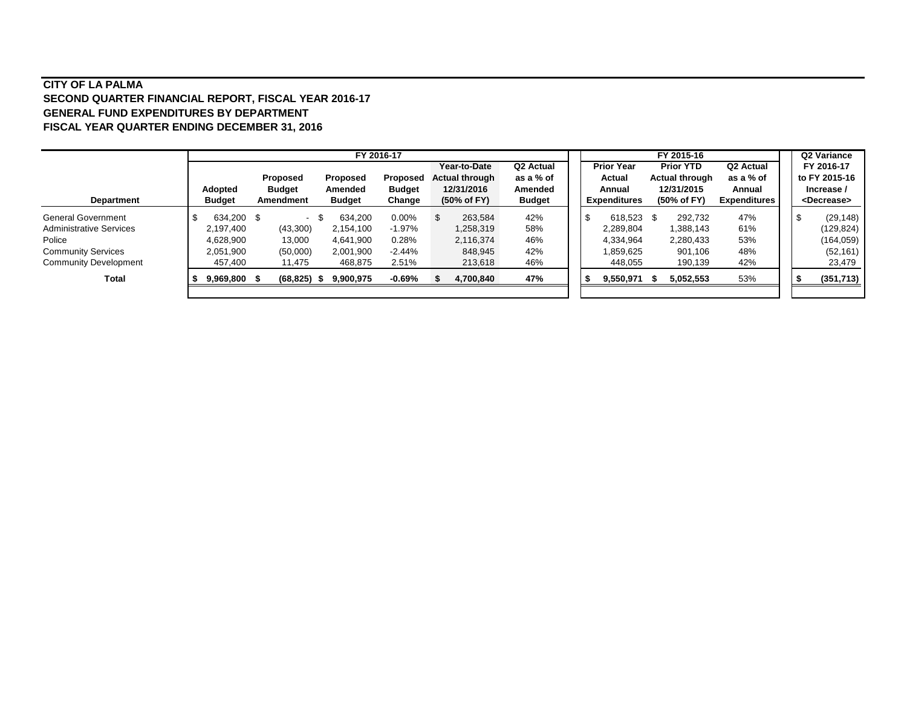#### **CITY OF LA PALMA SECOND QUARTER FINANCIAL REPORT, FISCAL YEAR 2016-17 GENERAL FUND EXPENDITURES BY DEPARTMENT FISCAL YEAR QUARTER ENDING DECEMBER 31, 2016**

|                                |               |                  |               | FY 2016-17 |               |    |                       |                       |     |                     | FY 2015-16            |                       |  | Q2 Variance           |
|--------------------------------|---------------|------------------|---------------|------------|---------------|----|-----------------------|-----------------------|-----|---------------------|-----------------------|-----------------------|--|-----------------------|
|                                |               |                  |               |            |               |    | Year-to-Date          | Q <sub>2</sub> Actual |     | <b>Prior Year</b>   | <b>Prior YTD</b>      | Q <sub>2</sub> Actual |  | FY 2016-17            |
|                                |               | Proposed         | Proposed      |            | Proposed      |    | <b>Actual through</b> | as a % of             |     | Actual              | <b>Actual through</b> | as a % of             |  | to FY 2015-16         |
|                                | Adopted       | <b>Budget</b>    | Amended       |            | <b>Budget</b> |    | 12/31/2016            | Amended               |     | Annual              | 12/31/2015            | Annual                |  | Increase /            |
| <b>Department</b>              | <b>Budget</b> | <b>Amendment</b> | <b>Budget</b> |            | Change        |    | (50% of FY)           | <b>Budget</b>         |     | <b>Expenditures</b> | (50% of FY)           | <b>Expenditures</b>   |  | <decrease></decrease> |
| <b>General Government</b>      | 634,200 \$    |                  | 634,200       |            | $0.00\%$      | £. | 263.584               | 42%                   |     | 618.523 \$          | 292,732               | 47%                   |  | (29, 148)             |
| <b>Administrative Services</b> | 2,197,400     | (43,300)         | 2,154,100     |            | $-1.97%$      |    | 1,258,319             | 58%                   |     | 2,289,804           | 1,388,143             | 61%                   |  | (129, 824)            |
| Police                         | 4,628,900     | 13,000           | 4.641.900     |            | 0.28%         |    | 2,116,374             | 46%                   |     | 4,334,964           | 2,280,433             | 53%                   |  | (164, 059)            |
| <b>Community Services</b>      | 2,051,900     | (50,000)         | 2,001,900     |            | $-2.44%$      |    | 848.945               | 42%                   |     | 859,625.ا           | 901.106               | 48%                   |  | (52, 161)             |
| <b>Community Development</b>   | 457,400       | 11,475           | 468,875       |            | 2.51%         |    | 213,618               | 46%                   |     | 448,055             | 190,139               | 42%                   |  | 23,479                |
| Total                          | 9,969,800     | $(68, 825)$ \$   | 9,900,975     |            | -0.69%        |    | 4.700.840             | 47%                   | - 5 | 9,550,971           | 5,052,553             | 53%                   |  | (351, 713)            |
|                                |               |                  |               |            |               |    |                       |                       |     |                     |                       |                       |  |                       |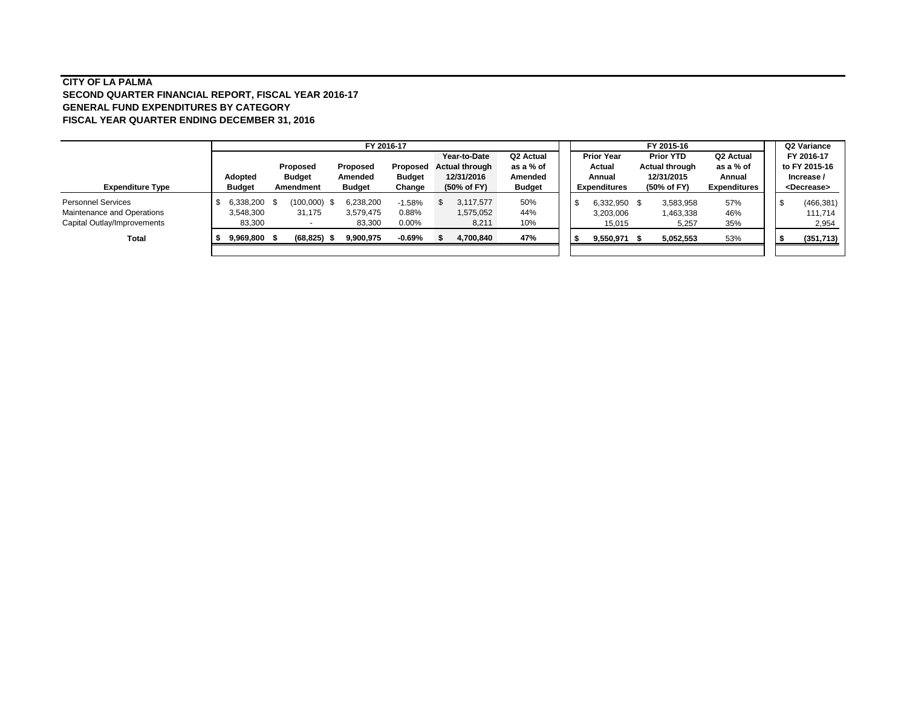#### **CITY OF LA PALMA SECOND QUARTER FINANCIAL REPORT, FISCAL YEAR 2016-17 GENERAL FUND EXPENDITURES BY CATEGORY FISCAL YEAR QUARTER ENDING DECEMBER 31, 2016**

|                             | FY 2016-17    |  |                |               |               |  |                       | FY 2015-16    |  |    |                     |      |                  |                       | Q2 Variance |                       |
|-----------------------------|---------------|--|----------------|---------------|---------------|--|-----------------------|---------------|--|----|---------------------|------|------------------|-----------------------|-------------|-----------------------|
|                             |               |  |                |               |               |  | Year-to-Date          | Q2 Actual     |  |    | <b>Prior Year</b>   |      | <b>Prior YTD</b> | Q <sub>2</sub> Actual |             | FY 2016-17            |
|                             |               |  | Proposed       | Proposed      | Proposed      |  | <b>Actual through</b> | as a % of     |  |    | Actual              |      | Actual through   | as a % of             |             | to FY 2015-16         |
|                             | Adopted       |  | <b>Budget</b>  | Amended       | <b>Budget</b> |  | 12/31/2016            | Amended       |  |    | Annual              |      | 12/31/2015       | Annual                |             | Increase /            |
| <b>Expenditure Type</b>     | <b>Budget</b> |  | Amendment      | <b>Budget</b> | Change        |  | (50% of FY)           | <b>Budget</b> |  |    | <b>Expenditures</b> |      | (50% of FY)      | <b>Expenditures</b>   |             | <decrease></decrease> |
| <b>Personnel Services</b>   | 6,338,200 \$  |  | $(100,000)$ \$ | 6,238,200     | $-1.58%$      |  | 3,117,577             | 50%           |  | -9 | 6,332,950           | - \$ | 3,583,958        | 57%                   |             | (466, 381)            |
| Maintenance and Operations  | 3,548,300     |  | 31,175         | 3,579,475     | 0.88%         |  | 1,575,052             | 44%           |  |    | 3,203,006           |      | 1,463,338        | 46%                   |             | 111.714               |
| Capital Outlay/Improvements | 83,300        |  |                | 83,300        | $0.00\%$      |  | 8,211                 | 10%           |  |    | 15,015              |      | 5,257            | 35%                   |             | 2,954                 |
| Total                       | 9,969,800 \$  |  | (68, 825)      | 9,900,975     | $-0.69%$      |  | 4,700,840             | 47%           |  |    | 9,550,971           |      | 5,052,553        | 53%                   |             | (351,713)             |
|                             |               |  |                |               |               |  |                       |               |  |    |                     |      |                  |                       |             |                       |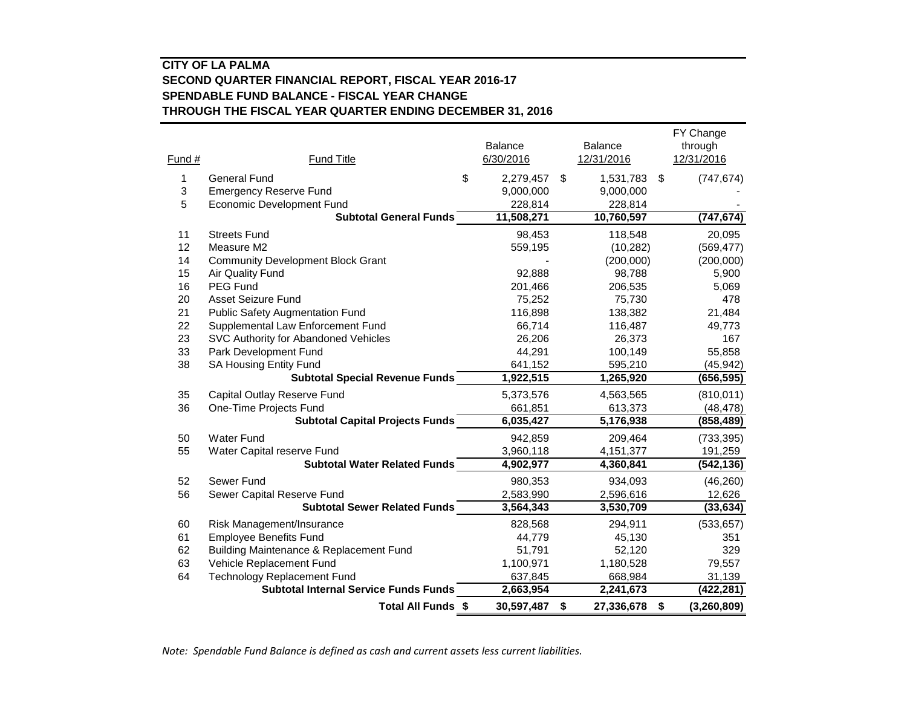#### **CITY OF LA PALMA SECOND QUARTER FINANCIAL REPORT, FISCAL YEAR 2016-17 SPENDABLE FUND BALANCE - FISCAL YEAR CHANGE THROUGH THE FISCAL YEAR QUARTER ENDING DECEMBER 31, 2016**

|        |                                              |                      |                              | FY Change             |
|--------|----------------------------------------------|----------------------|------------------------------|-----------------------|
| Fund # | <b>Fund Title</b>                            | Balance<br>6/30/2016 | <b>Balance</b><br>12/31/2016 | through<br>12/31/2016 |
|        |                                              |                      |                              |                       |
| 1      | <b>General Fund</b>                          | \$<br>2,279,457      | \$<br>1,531,783              | \$<br>(747, 674)      |
| 3      | <b>Emergency Reserve Fund</b>                | 9,000,000            | 9,000,000                    |                       |
| 5      | <b>Economic Development Fund</b>             | 228,814              | 228,814                      |                       |
|        | <b>Subtotal General Funds</b>                | 11,508,271           | 10,760,597                   | (747, 674)            |
| 11     | <b>Streets Fund</b>                          | 98,453               | 118,548                      | 20,095                |
| 12     | Measure M2                                   | 559,195              | (10, 282)                    | (569, 477)            |
| 14     | <b>Community Development Block Grant</b>     |                      | (200,000)                    | (200,000)             |
| 15     | Air Quality Fund                             | 92,888               | 98,788                       | 5,900                 |
| 16     | PEG Fund                                     | 201,466              | 206,535                      | 5,069                 |
| 20     | <b>Asset Seizure Fund</b>                    | 75,252               | 75,730                       | 478                   |
| 21     | <b>Public Safety Augmentation Fund</b>       | 116,898              | 138,382                      | 21,484                |
| 22     | Supplemental Law Enforcement Fund            | 66,714               | 116,487                      | 49,773                |
| 23     | SVC Authority for Abandoned Vehicles         | 26,206               | 26,373                       | 167                   |
| 33     | Park Development Fund                        | 44,291               | 100,149                      | 55,858                |
| 38     | <b>SA Housing Entity Fund</b>                | 641,152              | 595,210                      | (45, 942)             |
|        | <b>Subtotal Special Revenue Funds</b>        | 1,922,515            | 1,265,920                    | (656, 595)            |
| 35     | Capital Outlay Reserve Fund                  | 5,373,576            | 4,563,565                    | (810, 011)            |
| 36     | One-Time Projects Fund                       | 661,851              | 613,373                      | (48, 478)             |
|        | <b>Subtotal Capital Projects Funds</b>       | 6,035,427            | 5,176,938                    | (858, 489)            |
| 50     | <b>Water Fund</b>                            | 942,859              | 209,464                      | (733, 395)            |
| 55     | Water Capital reserve Fund                   | 3,960,118            | 4,151,377                    | 191,259               |
|        | <b>Subtotal Water Related Funds</b>          | 4,902,977            | 4,360,841                    | (542, 136)            |
| 52     | Sewer Fund                                   | 980,353              | 934,093                      | (46, 260)             |
| 56     | Sewer Capital Reserve Fund                   | 2,583,990            | 2,596,616                    | 12,626                |
|        | <b>Subtotal Sewer Related Funds</b>          | 3,564,343            | 3,530,709                    | (33, 634)             |
| 60     | Risk Management/Insurance                    | 828,568              | 294,911                      | (533, 657)            |
| 61     | <b>Employee Benefits Fund</b>                | 44,779               | 45,130                       | 351                   |
| 62     | Building Maintenance & Replacement Fund      | 51,791               | 52,120                       | 329                   |
| 63     | Vehicle Replacement Fund                     | 1,100,971            | 1,180,528                    | 79,557                |
| 64     | <b>Technology Replacement Fund</b>           | 637,845              | 668,984                      | 31,139                |
|        | <b>Subtotal Internal Service Funds Funds</b> | 2,663,954            | 2,241,673                    | (422, 281)            |
|        | Total All Funds \$                           | 30,597,487           | \$<br>27,336,678             | \$<br>(3, 260, 809)   |

*Note: Spendable Fund Balance is defined as cash and current assets less current liabilities.*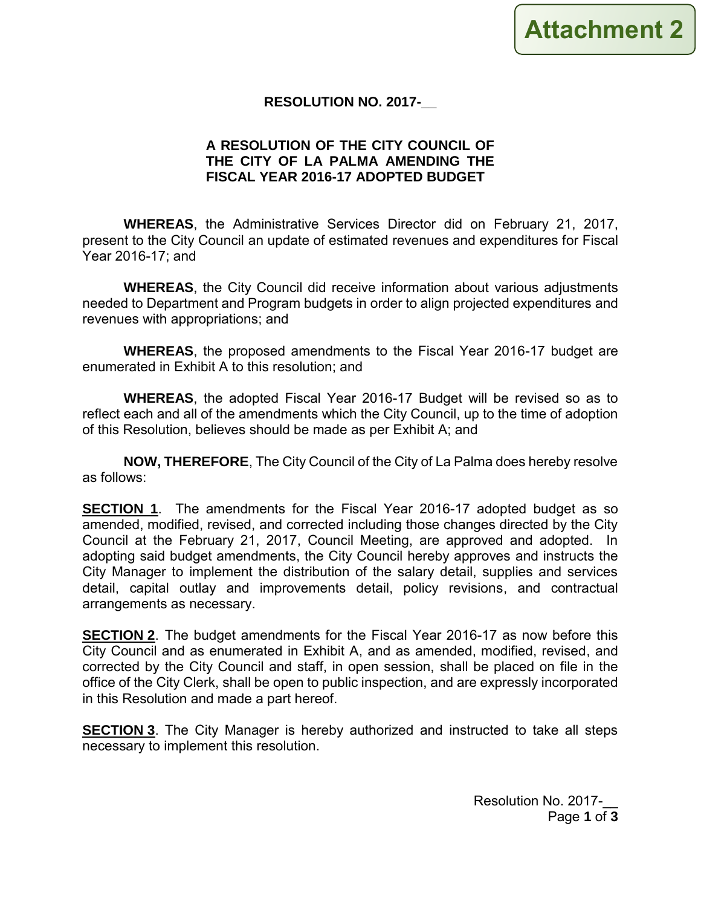### **RESOLUTION NO. 2017-\_\_**

### **A RESOLUTION OF THE CITY COUNCIL OF THE CITY OF LA PALMA AMENDING THE FISCAL YEAR 2016-17 ADOPTED BUDGET**

**WHEREAS**, the Administrative Services Director did on February 21, 2017, present to the City Council an update of estimated revenues and expenditures for Fiscal Year 2016-17; and

**WHEREAS**, the City Council did receive information about various adjustments needed to Department and Program budgets in order to align projected expenditures and revenues with appropriations; and

**WHEREAS**, the proposed amendments to the Fiscal Year 2016-17 budget are enumerated in Exhibit A to this resolution; and

**WHEREAS**, the adopted Fiscal Year 2016-17 Budget will be revised so as to reflect each and all of the amendments which the City Council, up to the time of adoption of this Resolution, believes should be made as per Exhibit A; and

**NOW, THEREFORE**, The City Council of the City of La Palma does hereby resolve as follows:

**SECTION 1**. The amendments for the Fiscal Year 2016-17 adopted budget as so amended, modified, revised, and corrected including those changes directed by the City Council at the February 21, 2017, Council Meeting, are approved and adopted. In adopting said budget amendments, the City Council hereby approves and instructs the City Manager to implement the distribution of the salary detail, supplies and services detail, capital outlay and improvements detail, policy revisions, and contractual arrangements as necessary.

**SECTION 2**. The budget amendments for the Fiscal Year 2016-17 as now before this City Council and as enumerated in Exhibit A, and as amended, modified, revised, and corrected by the City Council and staff, in open session, shall be placed on file in the office of the City Clerk, shall be open to public inspection, and are expressly incorporated in this Resolution and made a part hereof.

**SECTION 3**. The City Manager is hereby authorized and instructed to take all steps necessary to implement this resolution.

> Resolution No. 2017-\_\_ Page **1** of **3**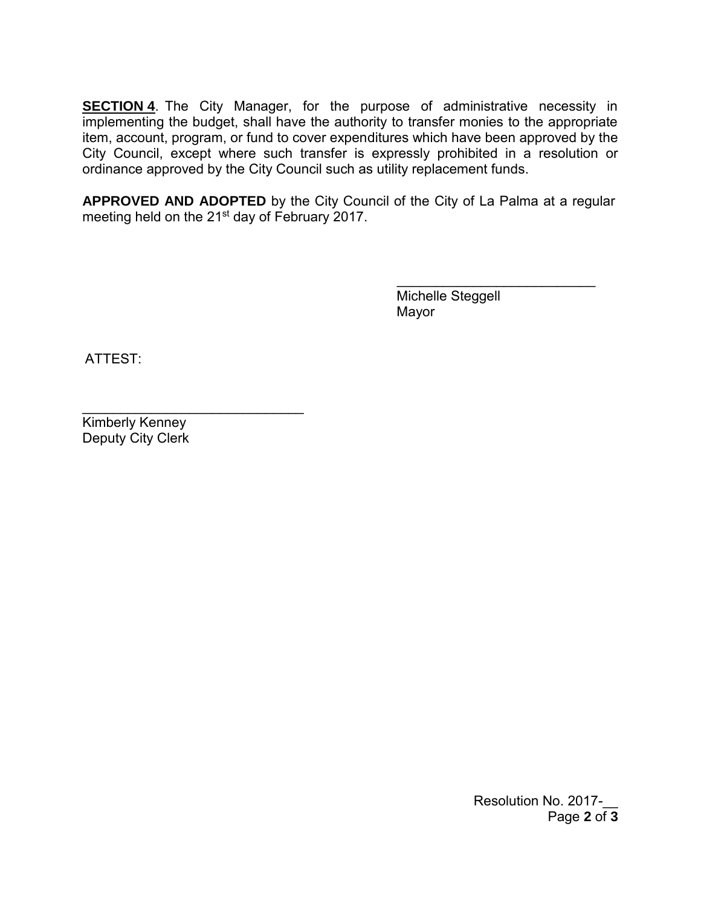**SECTION 4.** The City Manager, for the purpose of administrative necessity in implementing the budget, shall have the authority to transfer monies to the appropriate item, account, program, or fund to cover expenditures which have been approved by the City Council, except where such transfer is expressly prohibited in a resolution or ordinance approved by the City Council such as utility replacement funds.

**APPROVED AND ADOPTED** by the City Council of the City of La Palma at a regular meeting held on the 21st day of February 2017.

> Michelle Steggell Mayor

 $\overline{\phantom{a}}$  , where  $\overline{\phantom{a}}$  , where  $\overline{\phantom{a}}$  , where  $\overline{\phantom{a}}$ 

ATTEST:

 $\mathcal{L}_\text{max}$  and  $\mathcal{L}_\text{max}$  and  $\mathcal{L}_\text{max}$ Kimberly Kenney Deputy City Clerk

> Resolution No. 2017-Page **2** of **3**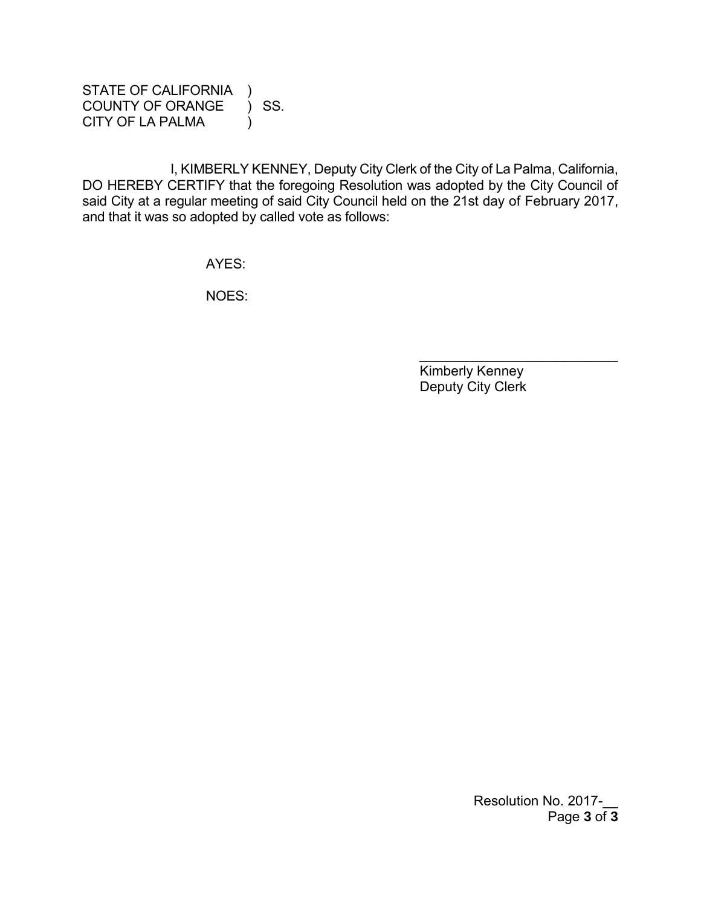STATE OF CALIFORNIA ) COUNTY OF ORANGE ) SS. CITY OF LA PALMA (1)

I, KIMBERLY KENNEY, Deputy City Clerk of the City of La Palma, California, DO HEREBY CERTIFY that the foregoing Resolution was adopted by the City Council of said City at a regular meeting of said City Council held on the 21st day of February 2017, and that it was so adopted by called vote as follows:

AYES:

NOES:

 Kimberly Kenney Deputy City Clerk

 $\mathcal{L}=\mathcal{L}=\mathcal{L}=\mathcal{L}=\mathcal{L}=\mathcal{L}=\mathcal{L}=\mathcal{L}=\mathcal{L}=\mathcal{L}=\mathcal{L}=\mathcal{L}=\mathcal{L}=\mathcal{L}=\mathcal{L}=\mathcal{L}=\mathcal{L}=\mathcal{L}=\mathcal{L}=\mathcal{L}=\mathcal{L}=\mathcal{L}=\mathcal{L}=\mathcal{L}=\mathcal{L}=\mathcal{L}=\mathcal{L}=\mathcal{L}=\mathcal{L}=\mathcal{L}=\mathcal{L}=\mathcal{L}=\mathcal{L}=\mathcal{L}=\mathcal{L}=\mathcal{L}=\mathcal{$ 

Resolution No. 2017-Page **3** of **3**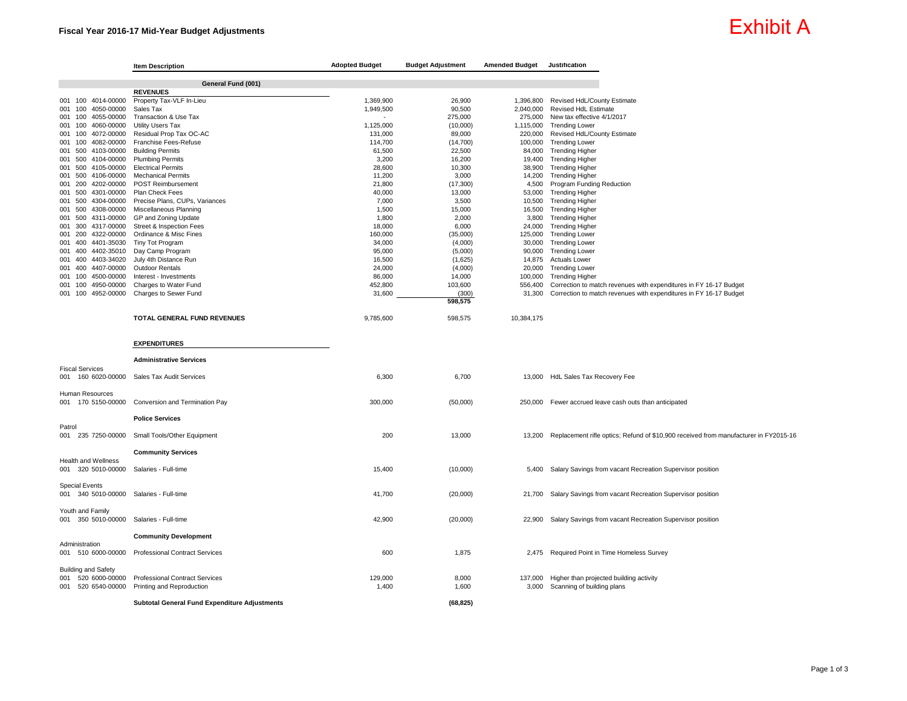#### Fiscal Year 2016-17 Mid-Year Budget Adjustments

## Exhibit A

|                                         | <b>Item Description</b>                           | <b>Adopted Budget</b> | <b>Budget Adjustment</b> | <b>Amended Budget</b> | Justification                                                                               |
|-----------------------------------------|---------------------------------------------------|-----------------------|--------------------------|-----------------------|---------------------------------------------------------------------------------------------|
|                                         | General Fund (001)                                |                       |                          |                       |                                                                                             |
|                                         | <b>REVENUES</b>                                   |                       |                          |                       |                                                                                             |
| 001 100 4014-00000                      | Property Tax-VLF In-Lieu                          | 1,369,900             | 26.900                   |                       | 1,396,800 Revised HdL/County Estimate                                                       |
| 100 4050-00000<br>001                   | Sales Tax                                         | 1,949,500             | 90,500                   | 2,040,000             | Revised HdL Estimate                                                                        |
| 001 100 4055-00000                      | Transaction & Use Tax                             | $\overline{a}$        | 275,000                  |                       | 275,000 New tax effective 4/1/2017                                                          |
| 100 4060-00000<br>001                   | <b>Utility Users Tax</b>                          | 1,125,000             | (10,000)                 | 1,115,000             | <b>Trending Lower</b>                                                                       |
| 100<br>4072-00000<br>001                | Residual Prop Tax OC-AC                           | 131,000               | 89,000                   | 220,000               | Revised HdL/County Estimate                                                                 |
| 100 4082-00000<br>001                   | Franchise Fees-Refuse                             | 114,700               | (14, 700)                |                       | 100,000 Trending Lower                                                                      |
| 001 500 4103-00000                      | <b>Building Permits</b>                           | 61,500                | 22,500                   |                       | 84,000 Trending Higher                                                                      |
| 001 500 4104-00000                      | <b>Plumbing Permits</b>                           | 3,200                 | 16,200                   | 19,400                | <b>Trending Higher</b>                                                                      |
| 500 4105-00000<br>001                   | <b>Electrical Permits</b>                         | 28,600                | 10,300                   | 38,900                | <b>Trending Higher</b>                                                                      |
| 001 500 4106-00000                      | <b>Mechanical Permits</b>                         | 11,200                | 3,000                    | 14,200                | <b>Trending Higher</b>                                                                      |
| 200 4202-00000<br>001                   | <b>POST Reimbursement</b>                         | 21,800                | (17, 300)                | 4,500                 | <b>Program Funding Reduction</b>                                                            |
| 001 500<br>4301-00000                   | Plan Check Fees                                   | 40,000                | 13,000                   | 53,000                | <b>Trending Higher</b>                                                                      |
|                                         | 001 500 4304-00000 Precise Plans, CUPs, Variances | 7,000                 | 3,500                    |                       | 10,500 Trending Higher                                                                      |
| 001 500 4308-00000                      | Miscellaneous Planning                            | 1,500                 | 15,000                   | 16,500                | <b>Trending Higher</b>                                                                      |
| 001 500 4311-00000                      | GP and Zoning Update                              | 1,800                 | 2,000                    | 3,800                 | <b>Trending Higher</b>                                                                      |
| 300 4317-00000<br>001                   | Street & Inspection Fees                          | 18,000                | 6,000                    | 24,000                | <b>Trending Higher</b>                                                                      |
| 001 200 4322-00000                      | Ordinance & Misc Fines                            | 160,000               | (35,000)                 | 125,000               | <b>Trending Lower</b>                                                                       |
| 001 400 4401-35030                      | Tiny Tot Program                                  | 34,000                | (4,000)                  | 30,000                | <b>Trending Lower</b>                                                                       |
| 4402-35010<br>001 400                   | Day Camp Program                                  | 95,000                | (5,000)                  | 90,000                | <b>Trending Lower</b>                                                                       |
| 001 400 4403-34020                      | July 4th Distance Run                             | 16,500                | (1,625)                  |                       | 14,875 Actuals Lower                                                                        |
| 001 400 4407-00000                      | <b>Outdoor Rentals</b>                            | 24,000                | (4,000)                  | 20,000                | <b>Trending Lower</b>                                                                       |
| 4500-00000<br>001<br>100                | Interest - Investments                            | 86,000                | 14,000                   | 100,000               | <b>Trending Higher</b>                                                                      |
| 001<br>100<br>4950-00000                | Charges to Water Fund                             | 452,800               | 103,600                  | 556,400               | Correction to match revenues with expenditures in FY 16-17 Budget                           |
| 001 100 4952-00000                      | Charges to Sewer Fund                             | 31,600                | (300)                    | 31,300                | Correction to match revenues with expenditures in FY 16-17 Budget                           |
|                                         |                                                   |                       | 598,575                  |                       |                                                                                             |
|                                         | <b>TOTAL GENERAL FUND REVENUES</b>                | 9,785,600             | 598,575                  | 10,384,175            |                                                                                             |
|                                         | <b>EXPENDITURES</b>                               |                       |                          |                       |                                                                                             |
|                                         | <b>Administrative Services</b>                    |                       |                          |                       |                                                                                             |
| <b>Fiscal Services</b>                  |                                                   |                       |                          |                       |                                                                                             |
|                                         | 001 160 6020-00000 Sales Tax Audit Services       | 6,300                 | 6,700                    |                       | 13,000 HdL Sales Tax Recovery Fee                                                           |
|                                         |                                                   |                       |                          |                       |                                                                                             |
| Human Resources                         |                                                   |                       |                          |                       |                                                                                             |
| 001 170 5150-00000                      | Conversion and Termination Pay                    | 300,000               | (50,000)                 | 250,000               | Fewer accrued leave cash outs than anticipated                                              |
|                                         |                                                   |                       |                          |                       |                                                                                             |
|                                         | <b>Police Services</b>                            |                       |                          |                       |                                                                                             |
| Patrol                                  |                                                   |                       |                          |                       |                                                                                             |
|                                         | 001 235 7250-00000 Small Tools/Other Equipment    | 200                   | 13,000                   |                       | 13,200 Replacement rifle optics; Refund of \$10,900 received from manufacturer in FY2015-16 |
|                                         |                                                   |                       |                          |                       |                                                                                             |
|                                         | <b>Community Services</b>                         |                       |                          |                       |                                                                                             |
| <b>Health and Wellness</b>              |                                                   |                       |                          |                       |                                                                                             |
| 320 5010-00000<br>001                   | Salaries - Full-time                              | 15,400                | (10,000)                 | 5,400                 | Salary Savings from vacant Recreation Supervisor position                                   |
|                                         |                                                   |                       |                          |                       |                                                                                             |
| <b>Special Events</b>                   |                                                   |                       |                          |                       |                                                                                             |
| 001 340 5010-00000 Salaries - Full-time |                                                   | 41,700                | (20,000)                 |                       | 21,700 Salary Savings from vacant Recreation Supervisor position                            |
|                                         |                                                   |                       |                          |                       |                                                                                             |
| Youth and Family                        |                                                   |                       |                          |                       |                                                                                             |
| 001 350 5010-00000                      | Salaries - Full-time                              | 42,900                | (20,000)                 | 22,900                | Salary Savings from vacant Recreation Supervisor position                                   |
|                                         |                                                   |                       |                          |                       |                                                                                             |
|                                         | <b>Community Development</b>                      |                       |                          |                       |                                                                                             |
| Administration                          |                                                   |                       |                          |                       |                                                                                             |
|                                         | 001 510 6000-00000 Professional Contract Services | 600                   | 1,875                    |                       | 2,475 Required Point in Time Homeless Survey                                                |
|                                         |                                                   |                       |                          |                       |                                                                                             |
| <b>Building and Safety</b>              |                                                   |                       |                          |                       |                                                                                             |
| 001 520 6000-00000                      | <b>Professional Contract Services</b>             | 129,000               | 8,000                    |                       | 137,000 Higher than projected building activity                                             |
| 001                                     | 520 6540-00000 Printing and Reproduction          | 1,400                 | 1,600                    | 3,000                 | Scanning of building plans                                                                  |
|                                         |                                                   |                       |                          |                       |                                                                                             |
|                                         | Subtotal General Fund Expenditure Adjustments     |                       | (68.825)                 |                       |                                                                                             |
|                                         |                                                   |                       |                          |                       |                                                                                             |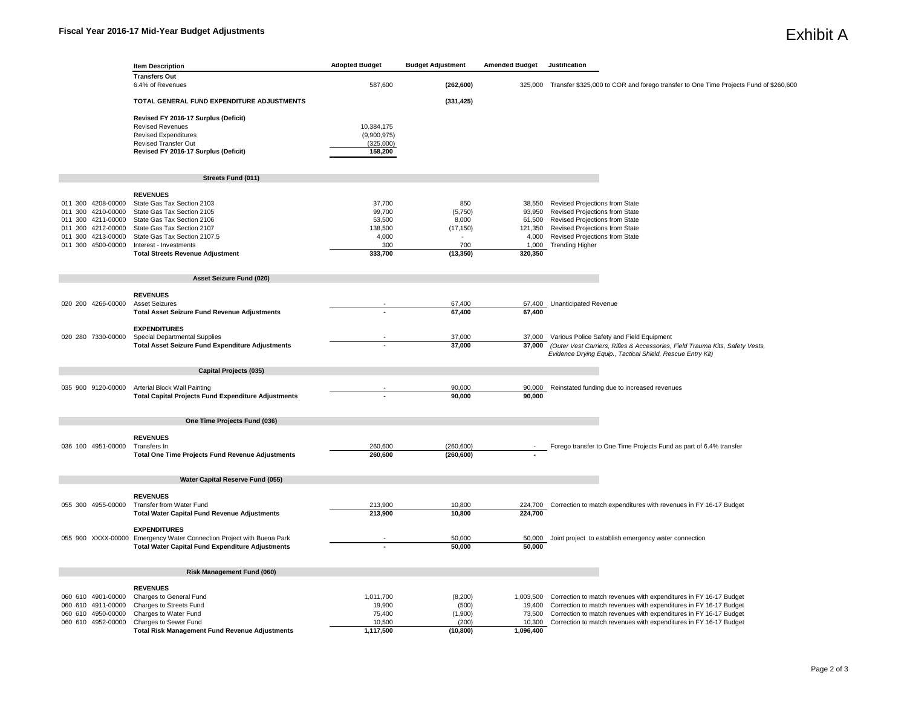|                                             | <b>Item Description</b>                                               | <b>Adopted Budget</b> | <b>Budget Adjustment</b> | <b>Amended Budget</b> | Justification                                                                                |
|---------------------------------------------|-----------------------------------------------------------------------|-----------------------|--------------------------|-----------------------|----------------------------------------------------------------------------------------------|
|                                             | <b>Transfers Out</b>                                                  |                       |                          |                       |                                                                                              |
|                                             | 6.4% of Revenues                                                      | 587,600               | (262, 600)               |                       | 325,000 Transfer \$325,000 to COR and forego transfer to One Time Projects Fund of \$260,600 |
|                                             |                                                                       |                       |                          |                       |                                                                                              |
|                                             | TOTAL GENERAL FUND EXPENDITURE ADJUSTMENTS                            |                       | (331, 425)               |                       |                                                                                              |
|                                             |                                                                       |                       |                          |                       |                                                                                              |
|                                             | Revised FY 2016-17 Surplus (Deficit)                                  |                       |                          |                       |                                                                                              |
|                                             | <b>Revised Revenues</b>                                               | 10,384,175            |                          |                       |                                                                                              |
|                                             | <b>Revised Expenditures</b>                                           | (9,900,975)           |                          |                       |                                                                                              |
|                                             | <b>Revised Transfer Out</b>                                           | (325,000)             |                          |                       |                                                                                              |
|                                             | Revised FY 2016-17 Surplus (Deficit)                                  | 158,200               |                          |                       |                                                                                              |
|                                             |                                                                       |                       |                          |                       |                                                                                              |
|                                             |                                                                       |                       |                          |                       |                                                                                              |
|                                             | Streets Fund (011)                                                    |                       |                          |                       |                                                                                              |
|                                             |                                                                       |                       |                          |                       |                                                                                              |
|                                             | <b>REVENUES</b>                                                       |                       |                          |                       |                                                                                              |
| 011 300 4208-00000                          | State Gas Tax Section 2103                                            | 37,700                | 850                      |                       | 38,550 Revised Projections from State                                                        |
| 011 300<br>4210-00000                       | State Gas Tax Section 2105                                            | 99,700                | (5,750)                  | 93,950                | Revised Projections from State                                                               |
| 011 300 4211-00000<br>4212-00000            | State Gas Tax Section 2106<br>State Gas Tax Section 2107              | 53,500                | 8,000                    |                       | 61,500 Revised Projections from State                                                        |
| 011 300                                     |                                                                       | 138,500               | (17, 150)                | 121,350               | Revised Projections from State                                                               |
| 4213-00000<br>011 300<br>011 300 4500-00000 | State Gas Tax Section 2107.5                                          | 4,000<br>300          | 700                      | 4,000                 | Revised Projections from State                                                               |
|                                             | Interest - Investments<br><b>Total Streets Revenue Adjustment</b>     | 333,700               | (13, 350)                | 1,000<br>320,350      | <b>Trending Higher</b>                                                                       |
|                                             |                                                                       |                       |                          |                       |                                                                                              |
|                                             |                                                                       |                       |                          |                       |                                                                                              |
|                                             | Asset Seizure Fund (020)                                              |                       |                          |                       |                                                                                              |
|                                             |                                                                       |                       |                          |                       |                                                                                              |
|                                             | <b>REVENUES</b>                                                       |                       |                          |                       |                                                                                              |
| 020 200 4266-00000                          | <b>Asset Seizures</b>                                                 |                       | 67,400                   |                       | 67,400 Unanticipated Revenue                                                                 |
|                                             | <b>Total Asset Seizure Fund Revenue Adjustments</b>                   |                       | 67,400                   | 67,400                |                                                                                              |
|                                             |                                                                       |                       |                          |                       |                                                                                              |
|                                             | <b>EXPENDITURES</b>                                                   |                       |                          |                       |                                                                                              |
| 020 280 7330-00000                          | Special Departmental Supplies                                         |                       | 37,000                   |                       | 37,000 Various Police Safety and Field Equipment                                             |
|                                             | <b>Total Asset Seizure Fund Expenditure Adjustments</b>               |                       | 37,000                   | 37,000                | (Outer Vest Carriers, Rifles & Accessories, Field Trauma Kits, Safety Vests,                 |
|                                             |                                                                       |                       |                          |                       | Evidence Drying Equip., Tactical Shield, Rescue Entry Kit)                                   |
|                                             |                                                                       |                       |                          |                       |                                                                                              |
|                                             | <b>Capital Projects (035)</b>                                         |                       |                          |                       |                                                                                              |
|                                             |                                                                       |                       |                          |                       |                                                                                              |
| 035 900 9120-00000                          | Arterial Block Wall Painting                                          |                       | 90,000                   |                       | 90,000 Reinstated funding due to increased revenues                                          |
|                                             | <b>Total Capital Projects Fund Expenditure Adjustments</b>            |                       | 90,000                   | 90,000                |                                                                                              |
|                                             |                                                                       |                       |                          |                       |                                                                                              |
|                                             |                                                                       |                       |                          |                       |                                                                                              |
|                                             | One Time Projects Fund (036)                                          |                       |                          |                       |                                                                                              |
|                                             |                                                                       |                       |                          |                       |                                                                                              |
|                                             | <b>REVENUES</b>                                                       |                       |                          |                       |                                                                                              |
| 036 100 4951-00000                          | Transfers In                                                          | 260,600               | (260, 600)               |                       | Forego transfer to One Time Projects Fund as part of 6.4% transfer                           |
|                                             | Total One Time Projects Fund Revenue Adjustments                      | 260,600               | (260, 600)               |                       |                                                                                              |
|                                             |                                                                       |                       |                          |                       |                                                                                              |
|                                             | Water Capital Reserve Fund (055)                                      |                       |                          |                       |                                                                                              |
|                                             |                                                                       |                       |                          |                       |                                                                                              |
|                                             | <b>REVENUES</b>                                                       |                       |                          |                       |                                                                                              |
| 055 300 4955-00000                          | Transfer from Water Fund                                              | 213,900               | 10,800                   |                       | 224,700 Correction to match expenditures with revenues in FY 16-17 Budget                    |
|                                             | <b>Total Water Capital Fund Revenue Adjustments</b>                   | 213.900               | 10,800                   | 224.700               |                                                                                              |
|                                             |                                                                       |                       |                          |                       |                                                                                              |
|                                             | <b>EXPENDITURES</b>                                                   |                       |                          |                       |                                                                                              |
|                                             | 055 900 XXXX-00000 Emergency Water Connection Project with Buena Park |                       | 50,000                   | 50,000                | Joint project to establish emergency water connection                                        |
|                                             | <b>Total Water Capital Fund Expenditure Adjustments</b>               |                       | 50,000                   | 50,000                |                                                                                              |
|                                             |                                                                       |                       |                          |                       |                                                                                              |
|                                             |                                                                       |                       |                          |                       |                                                                                              |
|                                             | <b>Risk Management Fund (060)</b>                                     |                       |                          |                       |                                                                                              |
|                                             |                                                                       |                       |                          |                       |                                                                                              |
|                                             | <b>REVENUES</b>                                                       |                       |                          |                       |                                                                                              |
| 060 610 4901-00000                          | Charges to General Fund                                               | 1,011,700             | (8, 200)                 | 1,003,500             | Correction to match revenues with expenditures in FY 16-17 Budget                            |
| 060 610 4911-00000                          | Charges to Streets Fund                                               | 19,900                | (500)                    | 19,400                | Correction to match revenues with expenditures in FY 16-17 Budget                            |
| 060 610 4950-00000                          | Charges to Water Fund                                                 | 75,400                | (1,900)                  | 73,500                | Correction to match revenues with expenditures in FY 16-17 Budget                            |
| 060 610 4952-00000                          | Charges to Sewer Fund                                                 | 10,500                | (200)                    | 10,300                | Correction to match revenues with expenditures in FY 16-17 Budget                            |
|                                             | <b>Total Risk Management Fund Revenue Adjustments</b>                 | 1,117,500             | (10, 800)                | 1,096,400             |                                                                                              |